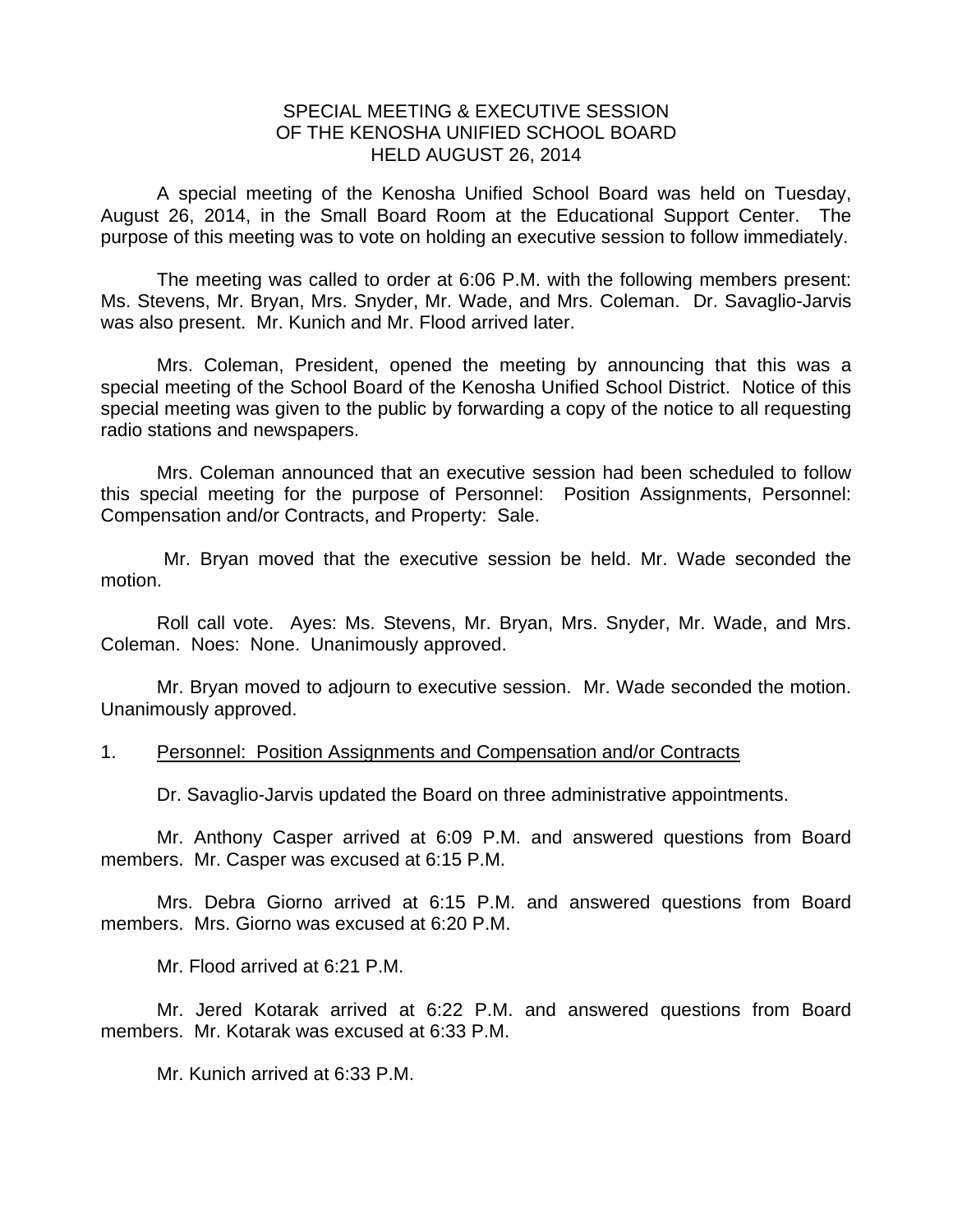## SPECIAL MEETING & EXECUTIVE SESSION OF THE KENOSHA UNIFIED SCHOOL BOARD HELD AUGUST 26, 2014

A special meeting of the Kenosha Unified School Board was held on Tuesday, August 26, 2014, in the Small Board Room at the Educational Support Center. The purpose of this meeting was to vote on holding an executive session to follow immediately.

 The meeting was called to order at 6:06 P.M. with the following members present: Ms. Stevens, Mr. Bryan, Mrs. Snyder, Mr. Wade, and Mrs. Coleman. Dr. Savaglio-Jarvis was also present. Mr. Kunich and Mr. Flood arrived later.

 Mrs. Coleman, President, opened the meeting by announcing that this was a special meeting of the School Board of the Kenosha Unified School District. Notice of this special meeting was given to the public by forwarding a copy of the notice to all requesting radio stations and newspapers.

 Mrs. Coleman announced that an executive session had been scheduled to follow this special meeting for the purpose of Personnel: Position Assignments, Personnel: Compensation and/or Contracts, and Property: Sale.

 Mr. Bryan moved that the executive session be held. Mr. Wade seconded the motion.

 Roll call vote. Ayes: Ms. Stevens, Mr. Bryan, Mrs. Snyder, Mr. Wade, and Mrs. Coleman. Noes: None. Unanimously approved.

 Mr. Bryan moved to adjourn to executive session. Mr. Wade seconded the motion. Unanimously approved.

## 1. Personnel: Position Assignments and Compensation and/or Contracts

Dr. Savaglio-Jarvis updated the Board on three administrative appointments.

 Mr. Anthony Casper arrived at 6:09 P.M. and answered questions from Board members. Mr. Casper was excused at 6:15 P.M.

 Mrs. Debra Giorno arrived at 6:15 P.M. and answered questions from Board members. Mrs. Giorno was excused at 6:20 P.M.

Mr. Flood arrived at 6:21 P.M.

 Mr. Jered Kotarak arrived at 6:22 P.M. and answered questions from Board members. Mr. Kotarak was excused at 6:33 P.M.

Mr. Kunich arrived at 6:33 P.M.